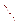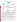### **THE ENVIRONMENTAL TECHNOLOGY VERIFICATION PROGRAM**





# **ETV Joint Verification Statement**

| <b>TECHNOLOGY TYPE: Enzymatic Test Kit</b> |                                                                                                                    |                                                     |  |
|--------------------------------------------|--------------------------------------------------------------------------------------------------------------------|-----------------------------------------------------|--|
| <b>APPLICATION:</b>                        | <b>Detecting Chemical Agents, Carbamate Pesticides, and</b><br><b>Organophosphate Pesticides in Drinking Water</b> |                                                     |  |
| <b>TECHNOLOGY</b><br><b>NAME:</b>          | Neuro-IQ Tox Test Kit <sup>™</sup>                                                                                 |                                                     |  |
| <b>COMPANY:</b>                            | <b>Aqua Survey, Inc.</b>                                                                                           |                                                     |  |
| <b>ADDRESS:</b>                            | 469 Point Breeze Road<br>Flemington, NJ 08822                                                                      | PHONE: (908) 788-8700<br>$(908) 788 - 9165$<br>FAX: |  |
| <b>WEB SITE:</b><br>$E\text{-}{MAIL$ :     | www.aquasurvey.com<br>hayes@aquasurvey.com                                                                         |                                                     |  |

The U.S. Environmental Protection Agency (EPA) has established the Environmental Technology Verification (ETV) Program to facilitate the deployment of innovative or improved environmental technologies through performance verification and dissemination of information. The goal of the ETV Program is to further environmental protection by accelerating the acceptance and use of improved and cost-effective technologies. ETV seeks to achieve this goal by providing high-quality, peer-reviewed data on technology performance to those involved in the design, distribution, financing, permitting, purchase, and use of environmental technologies. Information and ETV documents are available at www.epa.gov/etv.

ETV works in partnership with recognized standards and testing organizations, with stakeholder groups (consisting of buyers, vendor organizations, and permitters), and with individual technology developers. The program evaluates the performance of innovative technologies by developing test plans that are responsive to the needs of stakeholders, conducting field or laboratory tests (as appropriate), collecting and analyzing data, and preparing peer-reviewed reports. All evaluations are conducted in accordance with rigorous quality assurance (QA) protocols to ensure that data of known and adequate quality are generated and that the results are defensible.

The Advanced Monitoring Systems (AMS) Center, one of six technology areas under ETV, is operated by Battelle in cooperation with EPA's National Exposure Research Laboratory. The AMS Center evaluated the performance of the Aqua Survey's Neuro-IQ Tox Test Kit™. This verification statement provides a summary of the test results.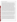#### **VERIFICATION TEST DESCRIPTION**

The objective of this verification test was to evaluate the ability of the Neuro-IQ Tox Test Kit™ to detect chemical agents, carbamate pesticides, and organophosphate (OP) pesticides in drinking water (DW). This verification test assessed the performance of the Neuro-IQ Tox Test Kit™ relative to accuracy; false positive and negative rates; precision; potential matrix and interference effects; and various operational factors including operator observations, ease of use, and sample throughput from both a technical and non-technical operators' perspective. The Neuro-IQ Tox Test Kit™ was evaluated using VX, sarin (GB), and soman (GD) (chemical agents); aldicarb (carbamate pesticide); and dicrotophos (OP pesticide) in performance test (PT) and DW samples. Quality Control (QC) samples were also included as part of the test matrix to ensure the integrity of the test. PT samples included individual contaminants spiked into American Society for Testing and Materials (ASTM) Type II deionized (DI) water at five different concentrations: the lethal dose concentration for each contaminant, along with dilutions at approximately 10, 100, 1,000, and 10,000 times less than the lethal dose. PT samples also included potential interferent samples containing a single concentration (10 times less than the lethal dose) of the contaminant of interest in the presence of calcium (Ca) and magnesium (Mg) spiked into ASTM Type II DI water, and humic and fulvic acids spiked into ASTM Type II DI water. Each interferent mixture was prepared at two concentration levels: near the upper limit of what would be expected in drinking water (250 milligrams per liter (mg/L) total concentration for Ca and Mg, 5 mg/L total concentration for humic and fulvic acids) and at a mid-low range of what would be expected (50 mg/L total concentration for Ca and Mg, 1 mg/L total concentration for humic and fulvic acids). Interferent PT samples were also analyzed without the addition of any contaminant. DW samples consisted of chlorinated filtered surface water, chlorinated unfiltered surface water, chlorinated filtered groundwater, and chloraminated filtered surface water collected from four geographically distributed municipal water sources (OH, NY, FL, and CA, respectively). DW samples were analyzed before adding any contaminant and after fortification with each individual contaminant at 10 times less than the lethal dose of that contaminant. All DW samples were dechlorinated prior to use. QC samples included method blank (MB) samples and control water samples, as prescribed by the Neuro-IQ Tox Test Kit™ protocol. All samples were tested in triplicate.

The lethal dose of each contaminant was determined by calculating the concentration at which 250 milliliters (mL) of water is likely to cause the death of a 70-kilogram (kg) person based on human oral  $LD_{50}$  (lethal dose for half of the test subjects) data. Human oral  $LD_{50}$  data were not available for aldicarb, so rat oral  $LD_{50}$  data were used instead. Lethal dose values are provided in the contaminant results tables below. Samples were tested blindly by Battelle technical operators who were trained by the vendor in the use of the Neuro-IQ Tox Test Kit™. Contaminants were tested individually, and stock solutions of each contaminant were prepared separately in ASTM Type II DI water. To minimize the loss of analytes to hydrolysis, contaminant stock solutions prepared in DI water were made on a daily basis. In some cases, reference solutions were prepared in ASTM Type II DI water using the stock solutions to prepare the test samples. In other cases, the actual stock solutions were submitted for concentration confirmation by the respective reference analysis.

A subset of the samples was also tested by a non-technical operator using the Neuro-IQ Tox Test Kit™. The non-technical operator was someone with little to no laboratory experience who would be representative of a first responder. For this test, the non-technical operator was a State of Ohio certified firefighter with Hazardous Waste Operations and Emergency Response (HAZWOPER) training. The non-technical operator was trained in the use of the Neuro-IQ Tox Test Kit™ by another Battelle staff person who was trained by the vendor. Only MB samples and non-toxic control samples were analyzed as part of the operational factors assessment. As the Neuro-IQ Tox Test Kit™ may be used by first-responders, its performance was evaluated under simulated first-response conditions by having the operator dressed in a Level B protective suit, neoprene latex gloves, boots, and a self-contained breathing apparatus (SCBA). The operator had prior experience working in personal protective equipment (PPE). One set of MB samples was also tested without the use of PPE. Ease of use from the perspective of the operator was documented both with and without the PPE.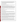QA oversight of verification testing was provided by Battelle and EPA. Battelle QA staff conducted a technical systems audit, a performance evaluation audit, and a data quality audit of 10% of the test data. Testing was conducted from November 2005 through February 2006. This verification statement, the full report on which it is based, and the test/QA plan for this verification test are all available at www.epa.gov/etv/centers/center1.html.

### **TECHNOLOGY DESCRIPTION**

The following description of the Neuro-IQ Tox Test Kit™ is based on information provided by the vendor. This technology description was not verified in this test.

The Neuro-IQ Tox Test Kit™ tests water supplies for the presence of contaminants in drinking water in sufficient concentrations to cause harm to humans. The Neuro-IO-Tox Test Kit™ is acetocholine/cholinesterase based and detects contaminants of interest by interrupting an enzymatic reaction. The presence or absence of contaminants at significant concentrations is predicted by adding two reagents to water samples and measuring the drop in pH after three minutes. This test is generally performed in replicates of up to four. If the pH of the test samples is higher  $(\geq 0.2$  pH units) than the control water sample's threeminute pH reading, this indicates the possible presence of a significant threat contaminant concentration.

The test can be conducted by a technician with basic laboratory skills. Data are recorded on a scorecard provided with the kit.

Enough reagent is provided with the Neuro-IQ Tox Test Kit™ to assay up to 400 test water samples. The Neuro-IQ-Tox Test Kit™ retails for \$300.

### **VERIFICATION RESULTS**

To allow for testing of all of the samples prescribed for this verification test, differences in pH were calculated on a sample by sample basis. In addition, three samples were tested with each control water sample since each type of sample need only to be tested in triplicate for this verification test. These changes were recommended by the vendor.

Only qualitative (positive, negative) results were used to calculate the parameters presented in the following tables for the Neuro-IQ Tox Test Kit™. Qualitative results were determined based on the difference between the control water pH value and the sample pH value. If the sample pH value was  $\geq 0.2$  pH units above the control water's pH value, then the sample was concluded to be a positive result, indicating the presence of the contaminant in the sample. If the test sample pH value was < 0.2 pH units above the control water's pH value, then a negative result was recorded for that sample.

Accuracy was assessed by evaluating how often the Neuro-IQ Tox Test Kit™ result was positive in the presence of a concentration above the limit of detection (LOD). Contaminant-only PT samples were used for this analysis. LODs were not available for any of the contaminants tested in this verification test. Thus, all analyzed contaminant-only PT samples greater than the concentration level where consistent negative results were obtained were used for accuracy calculations. This level was defined at 1.4 mg/L for dicrotophos. Results for VX, GB, GD, and aldicarb were not consistently negative at any level; thus, all analyzed PT samples were included in the accuracy calculations.

A false positive response was defined as a response indicating the presence of a contaminant when the PT interferent or DW sample was not spiked with contaminant. A false negative response was defined as a response indicating the absence of a contaminant when the sample was spiked with a contaminant at a concentration greater than the Neuro-IQ Tox Test Kit™'s LOD or consistent negative response level, as defined above. Spiked PT (contaminant and interferent) samples and spiked DW samples were included in the analysis.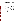The precision of three replicates of each sample set was assessed by calculating the overall number of consistent responses for all the sample sets. Operational aspects of the Neuro-IQ Tox Test Kit™'s performance such as ease of use and sample throughput were evaluated through observations made during testing. Also addressed were qualitative observations of the verification staff from both the technical and nontechnical operators' perspective.

## **VX Summary Table**

| <b>Parameter</b>          |                                                                 | <b>VX</b><br>Concentration                                      | <b>Number</b><br><b>Detected/Number</b><br>of Samples                                                                                                                                                                                                                                                                                                 |  |
|---------------------------|-----------------------------------------------------------------|-----------------------------------------------------------------|-------------------------------------------------------------------------------------------------------------------------------------------------------------------------------------------------------------------------------------------------------------------------------------------------------------------------------------------------------|--|
|                           |                                                                 | 2.1 mg/L $^{(a)}$                                               | 3/3                                                                                                                                                                                                                                                                                                                                                   |  |
| Contaminant-              |                                                                 | $0.21 \text{ mg/L}$                                             | 3/3                                                                                                                                                                                                                                                                                                                                                   |  |
|                           |                                                                 | $0.021$ mg/L                                                    | 3/3                                                                                                                                                                                                                                                                                                                                                   |  |
|                           |                                                                 | $0.0021$ mg/L                                                   | 3/3                                                                                                                                                                                                                                                                                                                                                   |  |
|                           |                                                                 | $0.00021$ mg/L                                                  | 3/3                                                                                                                                                                                                                                                                                                                                                   |  |
| Interferent PT<br>Samples | Humic and Fulvic<br>Acids                                       | $0.21 \text{ mg/L}$                                             | 6/6                                                                                                                                                                                                                                                                                                                                                   |  |
|                           | Ca and Mg                                                       | $0.21$ mg/L                                                     | 5/6                                                                                                                                                                                                                                                                                                                                                   |  |
| DW Samples                | <b>DW</b>                                                       | $0.21$ mg/L                                                     | 12/12                                                                                                                                                                                                                                                                                                                                                 |  |
| Accuracy                  |                                                                 | 100% (15 out of 15) of the contaminant-only PT samples were     |                                                                                                                                                                                                                                                                                                                                                       |  |
|                           |                                                                 | positive.                                                       |                                                                                                                                                                                                                                                                                                                                                       |  |
| <b>False Positives</b>    |                                                                 | Thirteen false positive responses were obtained. Seven positive |                                                                                                                                                                                                                                                                                                                                                       |  |
|                           |                                                                 | responses were found across unspiked 1 mg/L and 5 mg/L humic    |                                                                                                                                                                                                                                                                                                                                                       |  |
|                           | and fulvic acids as well as unspiked 50 mg/L Ca and Mg samples. |                                                                 |                                                                                                                                                                                                                                                                                                                                                       |  |
|                           |                                                                 |                                                                 |                                                                                                                                                                                                                                                                                                                                                       |  |
|                           |                                                                 |                                                                 |                                                                                                                                                                                                                                                                                                                                                       |  |
| <b>False Negatives</b>    |                                                                 |                                                                 |                                                                                                                                                                                                                                                                                                                                                       |  |
|                           |                                                                 |                                                                 |                                                                                                                                                                                                                                                                                                                                                       |  |
|                           |                                                                 |                                                                 |                                                                                                                                                                                                                                                                                                                                                       |  |
| Precision                 |                                                                 |                                                                 |                                                                                                                                                                                                                                                                                                                                                       |  |
|                           | Only PT<br><b>Samples</b>                                       | <b>Matrix</b><br>DI Water<br>results.                           | All six replicates for unspiked OH and FL DW yielded positive<br>One false negative result was obtained for spiked PT and DW<br>samples. One replicate of the spiked 250 mg/L Ca and Mg samples<br>returned a negative result.<br>90% (19 out of 21) of the sample sets showed consistent results<br>among the individual replicates within that set. |  |

(a) Lethal dose.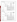## **GB Summary Table**

| <b>Parameter</b>       |                           | <b>Matrix</b>                                                                                                                                                                                                                                                                   | <b>GB</b><br>Concentration | <b>Number</b><br><b>Detected/Number</b><br>of Samples |
|------------------------|---------------------------|---------------------------------------------------------------------------------------------------------------------------------------------------------------------------------------------------------------------------------------------------------------------------------|----------------------------|-------------------------------------------------------|
|                        | Contaminant-              |                                                                                                                                                                                                                                                                                 | $20 \text{ mg/L}^{(a)}$    | 2/3                                                   |
|                        |                           |                                                                                                                                                                                                                                                                                 | $2.0 \text{ mg/L}$         | 3/3                                                   |
|                        | Only PT                   | DI Water                                                                                                                                                                                                                                                                        | $0.20$ mg/L                | 3/3                                                   |
|                        | <b>Samples</b>            |                                                                                                                                                                                                                                                                                 | $0.020$ mg/L               | 3/3                                                   |
| Qualitative Results    |                           |                                                                                                                                                                                                                                                                                 | $0.0020$ mg/L              | 3/3                                                   |
|                        | Interferent PT<br>Samples | Humic and Fulvic<br>Acids                                                                                                                                                                                                                                                       | $2.0 \text{ mg/L}$         | 6/6                                                   |
|                        |                           | Ca and Mg                                                                                                                                                                                                                                                                       | $2.0 \text{ mg/L}$         | 6/6                                                   |
|                        | <b>DW Samples</b>         | <b>DW</b>                                                                                                                                                                                                                                                                       | $2.0$ mg/L                 | 12/12                                                 |
| Accuracy               |                           | 93% (14 out of 15) of the contaminant-only PT samples were<br>positive.                                                                                                                                                                                                         |                            |                                                       |
| <b>False Positives</b> |                           | Thirteen false positive responses were obtained. Seven positive<br>responses were found across unspiked 1 mg/L and 5 mg/L humic<br>and fulvic acids as well as unspiked 50 mg/L Ca and Mg samples.<br>All six replicates for unspiked OH and FL DW yielded positive<br>results. |                            |                                                       |
| <b>False Negatives</b> |                           | One false negative result was obtained for spiked PT and DW<br>samples. One replicate of the spiked DI water samples at the lethal<br>dose returned a negative result.                                                                                                          |                            |                                                       |
| Precision              |                           | 90% (19 out of 21) of the sample sets showed consistent results<br>among the individual replicates within that set.                                                                                                                                                             |                            |                                                       |

(a) Lethal dose.

## **GD Summary Table**

| <b>Parameter</b>       |                                  | <b>Matrix</b>                                                                                                                                                                                                                                                                   | <b>GD</b><br>Concentration | <b>Number</b><br><b>Detected/Number</b><br>of Samples |
|------------------------|----------------------------------|---------------------------------------------------------------------------------------------------------------------------------------------------------------------------------------------------------------------------------------------------------------------------------|----------------------------|-------------------------------------------------------|
|                        | Contaminant-                     |                                                                                                                                                                                                                                                                                 | 1.4 mg/L $^{(a)}$          | 3/3                                                   |
|                        |                                  |                                                                                                                                                                                                                                                                                 | $0.14$ mg/L                | 3/3                                                   |
|                        | Only PT                          | DI Water                                                                                                                                                                                                                                                                        | $0.014$ mg/L               | 3/3                                                   |
|                        | Samples                          |                                                                                                                                                                                                                                                                                 | $0.0014$ mg/L              | 3/3                                                   |
| Qualitative Results    |                                  |                                                                                                                                                                                                                                                                                 | $0.00014$ mg/L             | 1/3                                                   |
|                        | <b>Interferent PT</b><br>Samples | Humic and Fulvic<br>Acids                                                                                                                                                                                                                                                       | $0.14$ mg/L                | 6/6                                                   |
|                        |                                  | Ca and Mg                                                                                                                                                                                                                                                                       | $0.14$ mg/L                | 6/6                                                   |
|                        | DW Samples                       | <b>DW</b>                                                                                                                                                                                                                                                                       | $0.14$ mg/L                | 12/12                                                 |
| Accuracy               |                                  | 87% (13 out of 15) of the contaminant-only PT samples were<br>positive.                                                                                                                                                                                                         |                            |                                                       |
| <b>False Positives</b> |                                  | Thirteen false positive responses were obtained. Seven positive<br>responses were found across unspiked 1 mg/L and 5 mg/L humic<br>and fulvic acids as well as unspiked 50 mg/L Ca and Mg samples.<br>All six replicates for unspiked OH and FL DW yielded positive<br>results. |                            |                                                       |
| <b>False Negatives</b> |                                  | Two false negative results were obtained for spiked PT and DW<br>samples. Two replicates of the spiked DI water samples at 10,000x<br>less than the lethal dose (0.00014 mg/L) returned a negative result.                                                                      |                            |                                                       |
| Precision              |                                  | 90% (19 out of 21) of the sample sets showed consistent results<br>among the individual replicates within that set.                                                                                                                                                             |                            |                                                       |
| (a)<br>Lethal dose.    |                                  |                                                                                                                                                                                                                                                                                 |                            |                                                       |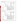## **Aldicarb Summary Table**

| <b>Parameter</b>       |                           | <b>Matrix</b>                                                                                                                                                                                                                                     | <b>Aldicarb</b><br>Concentration | <b>Number</b><br><b>Detected/Number</b><br>of Samples |
|------------------------|---------------------------|---------------------------------------------------------------------------------------------------------------------------------------------------------------------------------------------------------------------------------------------------|----------------------------------|-------------------------------------------------------|
|                        |                           | DI Water                                                                                                                                                                                                                                          | $260$ mg/L $^{(a)}$              | 3/3                                                   |
|                        | Contaminant-              |                                                                                                                                                                                                                                                   | $26 \text{ mg/L}$                | 3/3                                                   |
|                        | Only PT                   |                                                                                                                                                                                                                                                   | $2.6 \text{ mg/L}$               | 3/3                                                   |
|                        | Samples                   |                                                                                                                                                                                                                                                   | $0.26$ mg/L                      | 0/3                                                   |
| Qualitative Results    |                           |                                                                                                                                                                                                                                                   | $0.026$ mg/L                     | 1/3                                                   |
|                        | Interferent PT<br>Samples | Humic and Fulvic<br>Acids                                                                                                                                                                                                                         | $26 \text{ mg/L}$                | 6/6                                                   |
|                        |                           | Ca and Mg                                                                                                                                                                                                                                         | $26 \text{ mg/L}$                | 3/6                                                   |
|                        | DW Samples                | <b>DW</b>                                                                                                                                                                                                                                         | $26 \text{ mg/L}$                | 12/12                                                 |
| Accuracy               |                           | 67% (10 out of 15) of the contaminant-only PT samples were<br>positive.                                                                                                                                                                           |                                  |                                                       |
| <b>False Positives</b> |                           | Three false positive responses were obtained. Positive responses<br>were found for all replicates of the unspiked 5 mg/L humic and<br>fulvic acids samples.                                                                                       |                                  |                                                       |
| <b>False Negatives</b> |                           | Eight false negative results were obtained for spiked PT and DW<br>samples. Five samples of the spiked DI water samples returned a<br>negative result. All three replicates of the spiked 250 mg/L Ca and<br>Mg samples yielded negative results. |                                  |                                                       |
| Precision              |                           | 95% (20 out of 21) of the sample sets showed consistent results<br>among the individual replicates within that set.                                                                                                                               |                                  |                                                       |

(a) Lethal dose.

## **Dicrotophos Summary Table**

| <b>Parameter</b>       |                           | <b>Matrix</b>                                                                                                                      | <b>Dicrotophos</b><br><b>Concentration</b> | <b>Number</b><br><b>Detected/Number of</b><br><b>Samples</b> |  |
|------------------------|---------------------------|------------------------------------------------------------------------------------------------------------------------------------|--------------------------------------------|--------------------------------------------------------------|--|
|                        | Contaminant-              | DI Water                                                                                                                           | 1400 mg/L $^{(a)}$                         | 3/3                                                          |  |
|                        |                           |                                                                                                                                    | $140$ mg/L                                 | 0/3                                                          |  |
|                        | Only PT                   |                                                                                                                                    | $14 \text{ mg/L}$                          | 1/3                                                          |  |
| Qualitative            | Samples                   |                                                                                                                                    | $1.4 \text{ mg/L}$                         | $0/3$ <sup>(b)</sup>                                         |  |
| <b>Results</b>         |                           |                                                                                                                                    | $0.14$ mg/L                                | $0/3$ <sup>(b)</sup>                                         |  |
|                        | Interferent PT<br>Samples | Humic and Fulvic<br>Acids                                                                                                          | $140 \text{ mg/L}$                         | 4/6                                                          |  |
|                        |                           | Ca and Mg                                                                                                                          | $140 \text{ mg/L}$                         | 6/6                                                          |  |
|                        | DW Samples                | <b>DW</b>                                                                                                                          | $140$ mg/L                                 | 12/12                                                        |  |
| Accuracy               |                           | 44% (4 out of 9) of the contaminant-only PT samples above the level<br>of consistent negative responses were positive.             |                                            |                                                              |  |
|                        |                           |                                                                                                                                    |                                            |                                                              |  |
| <b>False Positives</b> |                           | Three false positive responses were obtained. Positive responses<br>were found for all replicates of the unspiked 5 mg/L humic and |                                            |                                                              |  |
|                        |                           | fulvic acids samples.                                                                                                              |                                            |                                                              |  |
|                        |                           |                                                                                                                                    |                                            |                                                              |  |
| <b>False Negatives</b> |                           | Seven false negative results were obtained for spiked PT and DW<br>samples. Five samples of the spiked DI water samples returned a |                                            |                                                              |  |
|                        |                           | negative result. Two replicates of the spiked 1 mg/L fulvic and                                                                    |                                            |                                                              |  |
|                        |                           | humic acid samples yielded negative results.                                                                                       |                                            |                                                              |  |
|                        |                           | 90% (19 out of 21) of the sample sets showed consistent results                                                                    |                                            |                                                              |  |
| Precision              |                           | among the individual replicates within that set.                                                                                   |                                            |                                                              |  |

(a) Lethal dose.

(b) Not used in accuracy calculations because samples are at or below level of consistent negative response.